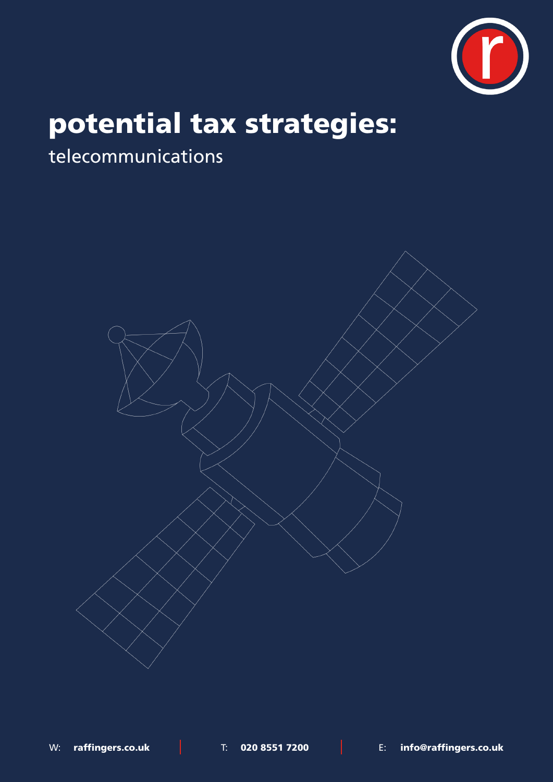

# potential tax strategies:

# telecommunications

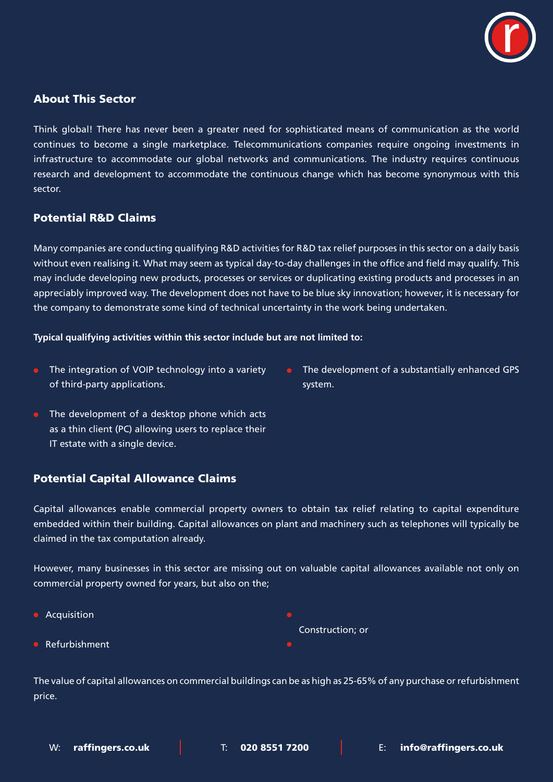

## About This Sector

Think global! There has never been a greater need for sophisticated means of communication as the world continues to become a single marketplace. Telecommunications companies require ongoing investments in infrastructure to accommodate our global networks and communications. The industry requires continuous research and development to accommodate the continuous change which has become synonymous with this sector.

# Potential R&D Claims

Many companies are conducting qualifying R&D activities for R&D tax relief purposes in this sector on a daily basis without even realising it. What may seem as typical day-to-day challenges in the office and field may qualify. This may include developing new products, processes or services or duplicating existing products and processes in an appreciably improved way. The development does not have to be blue sky innovation; however, it is necessary for the company to demonstrate some kind of technical uncertainty in the work being undertaken.

#### **Typical qualifying activities within this sector include but are not limited to:**

- The integration of VOIP technology into a variety of third-party applications.
- The development of a substantially enhanced GPS system.
- The development of a desktop phone which acts as a thin client (PC) allowing users to replace their IT estate with a single device.

# Potential Capital Allowance Claims

Capital allowances enable commercial property owners to obtain tax relief relating to capital expenditure embedded within their building. Capital allowances on plant and machinery such as telephones will typically be claimed in the tax computation already.

However, many businesses in this sector are missing out on valuable capital allowances available not only on commercial property owned for years, but also on the;

**Acquisition Refurbishment** Construction; or

The value of capital allowances on commercial buildings can be as high as 25-65% of any purchase or refurbishment price.